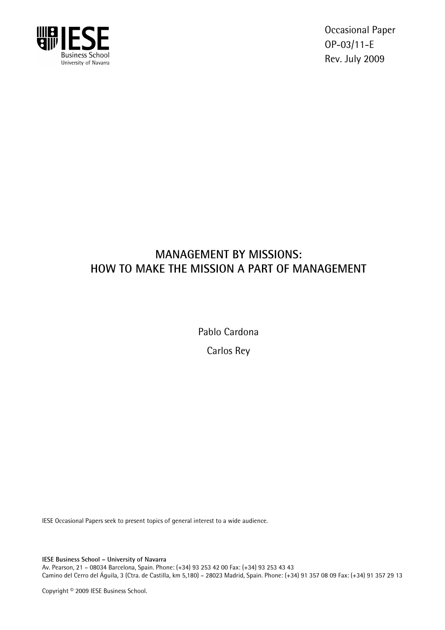

Occasional Paper OP-03/11-E Rev. July 2009

# **MANAGEMENT BY MISSIONS: HOW TO MAKE THE MISSION A PART OF MANAGEMENT**

Pablo Cardona

Carlos Rey

IESE Occasional Papers seek to present topics of general interest to a wide audience.

**IESE Business School – University of Navarra** 

Av. Pearson, 21 – 08034 Barcelona, Spain. Phone: (+34) 93 253 42 00 Fax: (+34) 93 253 43 43 Camino del Cerro del Águila, 3 (Ctra. de Castilla, km 5,180) – 28023 Madrid, Spain. Phone: (+34) 91 357 08 09 Fax: (+34) 91 357 29 13

Copyright © 2009 IESE Business School.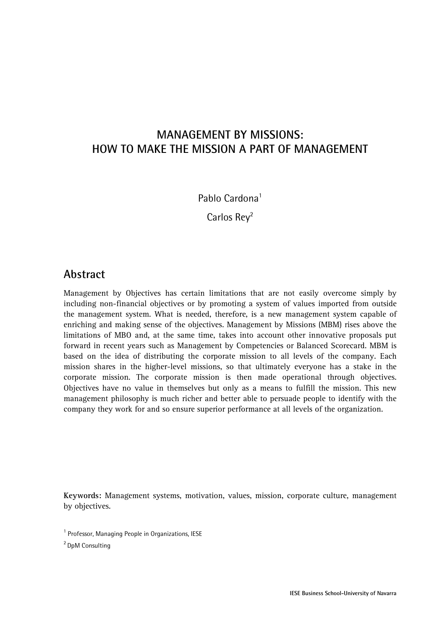# **MANAGEMENT BY MISSIONS: HOW TO MAKE THE MISSION A PART OF MANAGEMENT**

Pablo Cardona<sup>1</sup>

Carlos Rev<sup>2</sup>

#### **Abstract**

Management by Objectives has certain limitations that are not easily overcome simply by including non-financial objectives or by promoting a system of values imported from outside the management system. What is needed, therefore, is a new management system capable of enriching and making sense of the objectives. Management by Missions (MBM) rises above the limitations of MBO and, at the same time, takes into account other innovative proposals put forward in recent years such as Management by Competencies or Balanced Scorecard. MBM is based on the idea of distributing the corporate mission to all levels of the company. Each mission shares in the higher-level missions, so that ultimately everyone has a stake in the corporate mission. The corporate mission is then made operational through objectives. Objectives have no value in themselves but only as a means to fulfill the mission. This new management philosophy is much richer and better able to persuade people to identify with the company they work for and so ensure superior performance at all levels of the organization.

**Keywords:** Management systems, motivation, values, mission, corporate culture, management by objectives.

2 DpM Consulting

<sup>&</sup>lt;sup>1</sup> Professor, Managing People in Organizations, IESE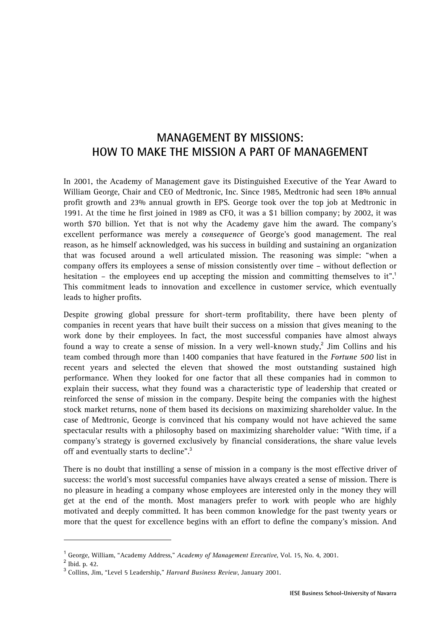# **MANAGEMENT BY MISSIONS: HOW TO MAKE THE MISSION A PART OF MANAGEMENT**

In 2001, the Academy of Management gave its Distinguished Executive of the Year Award to William George, Chair and CEO of Medtronic, Inc. Since 1985, Medtronic had seen 18% annual profit growth and 23% annual growth in EPS. George took over the top job at Medtronic in 1991. At the time he first joined in 1989 as CFO, it was a \$1 billion company; by 2002, it was worth \$70 billion. Yet that is not why the Academy gave him the award. The company's excellent performance was merely a *consequence* of George's good management. The real reason, as he himself acknowledged, was his success in building and sustaining an organization that was focused around a well articulated mission. The reasoning was simple: "when a company offers its employees a sense of mission consistently over time – without deflection or hesitation – the employees end up accepting the mission and committing themselves to it".<sup>1</sup> This commitment leads to innovation and excellence in customer service, which eventually leads to higher profits.

Despite growing global pressure for short-term profitability, there have been plenty of companies in recent years that have built their success on a mission that gives meaning to the work done by their employees. In fact, the most successful companies have almost always found a way to create a sense of mission. In a very well-known study, $^2$  Jim Collins and his team combed through more than 1400 companies that have featured in the *Fortune 500* list in recent years and selected the eleven that showed the most outstanding sustained high performance. When they looked for one factor that all these companies had in common to explain their success, what they found was a characteristic type of leadership that created or reinforced the sense of mission in the company. Despite being the companies with the highest stock market returns, none of them based its decisions on maximizing shareholder value. In the case of Medtronic, George is convinced that his company would not have achieved the same spectacular results with a philosophy based on maximizing shareholder value: "With time, if a company's strategy is governed exclusively by financial considerations, the share value levels off and eventually starts to decline".<sup>3</sup>

There is no doubt that instilling a sense of mission in a company is the most effective driver of success: the world's most successful companies have always created a sense of mission. There is no pleasure in heading a company whose employees are interested only in the money they will get at the end of the month. Most managers prefer to work with people who are highly motivated and deeply committed. It has been common knowledge for the past twenty years or more that the quest for excellence begins with an effort to define the company's mission. And

 $\overline{a}$ 

<sup>&</sup>lt;sup>1</sup> George, William, "Academy Address," *Academy of Management Executive*, Vol. 15, No. 4, 2001.<br><sup>2</sup> Prider 40

 $2$  Ibid. p. 42.

<sup>3</sup> Collins, Jim, "Level 5 Leadership," *Harvard Business Review*, January 2001.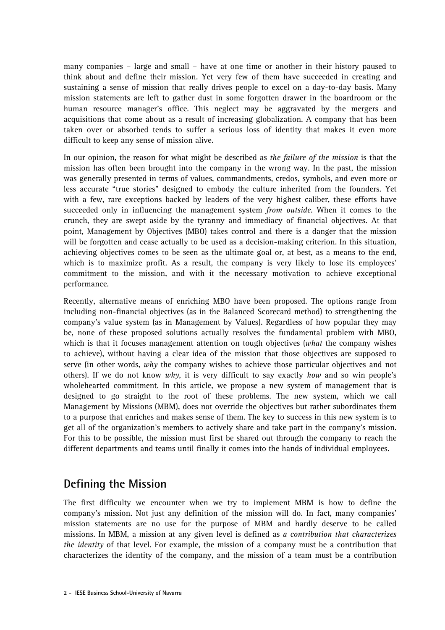many companies – large and small – have at one time or another in their history paused to think about and define their mission. Yet very few of them have succeeded in creating and sustaining a sense of mission that really drives people to excel on a day-to-day basis. Many mission statements are left to gather dust in some forgotten drawer in the boardroom or the human resource manager's office. This neglect may be aggravated by the mergers and acquisitions that come about as a result of increasing globalization. A company that has been taken over or absorbed tends to suffer a serious loss of identity that makes it even more difficult to keep any sense of mission alive.

In our opinion, the reason for what might be described as *the failure of the mission* is that the mission has often been brought into the company in the wrong way. In the past, the mission was generally presented in terms of values, commandments, credos, symbols, and even more or less accurate "true stories" designed to embody the culture inherited from the founders. Yet with a few, rare exceptions backed by leaders of the very highest caliber, these efforts have succeeded only in influencing the management system *from outside*. When it comes to the crunch, they are swept aside by the tyranny and immediacy of financial objectives. At that point, Management by Objectives (MBO) takes control and there is a danger that the mission will be forgotten and cease actually to be used as a decision-making criterion. In this situation, achieving objectives comes to be seen as the ultimate goal or, at best, as a means to the end, which is to maximize profit. As a result, the company is very likely to lose its employees' commitment to the mission, and with it the necessary motivation to achieve exceptional performance.

Recently, alternative means of enriching MBO have been proposed. The options range from including non-financial objectives (as in the Balanced Scorecard method) to strengthening the company's value system (as in Management by Values). Regardless of how popular they may be, none of these proposed solutions actually resolves the fundamental problem with MBO, which is that it focuses management attention on tough objectives (*what* the company wishes to achieve), without having a clear idea of the mission that those objectives are supposed to serve (in other words, *why* the company wishes to achieve those particular objectives and not others). If we do not know *why*, it is very difficult to say exactly *how* and so win people's wholehearted commitment. In this article, we propose a new system of management that is designed to go straight to the root of these problems. The new system, which we call Management by Missions (MBM), does not override the objectives but rather subordinates them to a purpose that enriches and makes sense of them. The key to success in this new system is to get all of the organization's members to actively share and take part in the company's mission. For this to be possible, the mission must first be shared out through the company to reach the different departments and teams until finally it comes into the hands of individual employees.

## **Defining the Mission**

The first difficulty we encounter when we try to implement MBM is how to define the company's mission. Not just any definition of the mission will do. In fact, many companies' mission statements are no use for the purpose of MBM and hardly deserve to be called missions. In MBM, a mission at any given level is defined as *a contribution that characterizes the identity* of that level. For example, the mission of a company must be a contribution that characterizes the identity of the company, and the mission of a team must be a contribution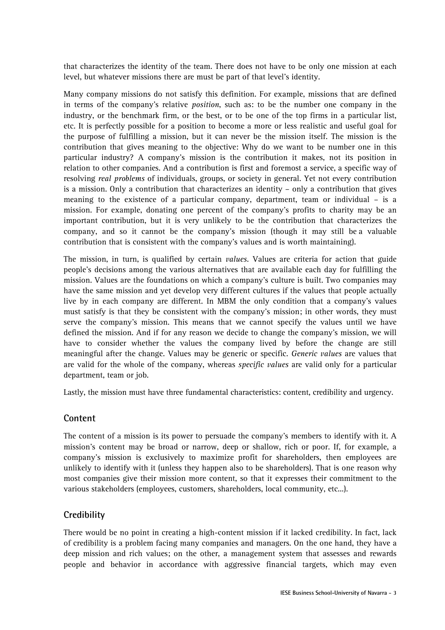that characterizes the identity of the team. There does not have to be only one mission at each level, but whatever missions there are must be part of that level's identity.

Many company missions do not satisfy this definition. For example, missions that are defined in terms of the company's relative *position*, such as: to be the number one company in the industry, or the benchmark firm, or the best, or to be one of the top firms in a particular list, etc. It is perfectly possible for a position to become a more or less realistic and useful goal for the purpose of fulfilling a mission, but it can never be the mission itself. The mission is the contribution that gives meaning to the objective: Why do we want to be number one in this particular industry? A company's mission is the contribution it makes, not its position in relation to other companies. And a contribution is first and foremost a service, a specific way of resolving *real problems* of individuals, groups, or society in general. Yet not every contribution is a mission. Only a contribution that characterizes an identity – only a contribution that gives meaning to the existence of a particular company, department, team or individual – is a mission. For example, donating one percent of the company's profits to charity may be an important contribution, but it is very unlikely to be the contribution that characterizes the company, and so it cannot be the company's mission (though it may still be a valuable contribution that is consistent with the company's values and is worth maintaining).

The mission, in turn, is qualified by certain *values*. Values are criteria for action that guide people's decisions among the various alternatives that are available each day for fulfilling the mission. Values are the foundations on which a company's culture is built. Two companies may have the same mission and yet develop very different cultures if the values that people actually live by in each company are different. In MBM the only condition that a company's values must satisfy is that they be consistent with the company's mission; in other words, they must serve the company's mission. This means that we cannot specify the values until we have defined the mission. And if for any reason we decide to change the company's mission, we will have to consider whether the values the company lived by before the change are still meaningful after the change. Values may be generic or specific. *Generic values* are values that are valid for the whole of the company, whereas *specific values* are valid only for a particular department, team or job.

Lastly, the mission must have three fundamental characteristics: content, credibility and urgency.

#### **Content**

The content of a mission is its power to persuade the company's members to identify with it. A mission's content may be broad or narrow, deep or shallow, rich or poor. If, for example, a company's mission is exclusively to maximize profit for shareholders, then employees are unlikely to identify with it (unless they happen also to be shareholders). That is one reason why most companies give their mission more content, so that it expresses their commitment to the various stakeholders (employees, customers, shareholders, local community, etc...).

#### **Credibility**

There would be no point in creating a high-content mission if it lacked credibility. In fact, lack of credibility is a problem facing many companies and managers. On the one hand, they have a deep mission and rich values; on the other, a management system that assesses and rewards people and behavior in accordance with aggressive financial targets, which may even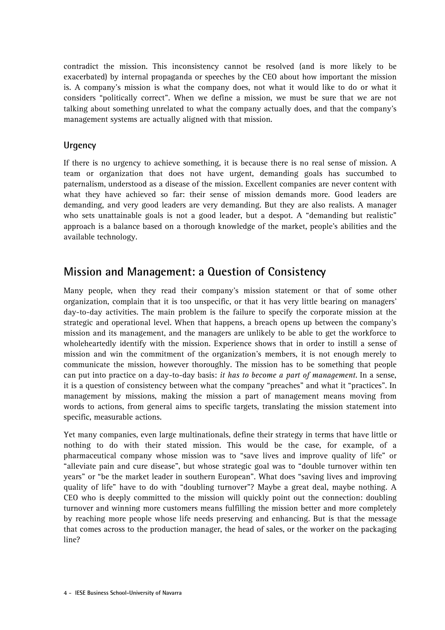contradict the mission. This inconsistency cannot be resolved (and is more likely to be exacerbated) by internal propaganda or speeches by the CEO about how important the mission is. A company's mission is what the company does, not what it would like to do or what it considers "politically correct". When we define a mission, we must be sure that we are not talking about something unrelated to what the company actually does, and that the company's management systems are actually aligned with that mission.

#### **Urgency**

If there is no urgency to achieve something, it is because there is no real sense of mission. A team or organization that does not have urgent, demanding goals has succumbed to paternalism, understood as a disease of the mission. Excellent companies are never content with what they have achieved so far: their sense of mission demands more. Good leaders are demanding, and very good leaders are very demanding. But they are also realists. A manager who sets unattainable goals is not a good leader, but a despot. A "demanding but realistic" approach is a balance based on a thorough knowledge of the market, people's abilities and the available technology.

## **Mission and Management: a Question of Consistency**

Many people, when they read their company's mission statement or that of some other organization, complain that it is too unspecific, or that it has very little bearing on managers' day-to-day activities. The main problem is the failure to specify the corporate mission at the strategic and operational level. When that happens, a breach opens up between the company's mission and its management, and the managers are unlikely to be able to get the workforce to wholeheartedly identify with the mission. Experience shows that in order to instill a sense of mission and win the commitment of the organization's members, it is not enough merely to communicate the mission, however thoroughly. The mission has to be something that people can put into practice on a day-to-day basis: *it has to become a part of management*. In a sense, it is a question of consistency between what the company "preaches" and what it "practices". In management by missions, making the mission a part of management means moving from words to actions, from general aims to specific targets, translating the mission statement into specific, measurable actions.

Yet many companies, even large multinationals, define their strategy in terms that have little or nothing to do with their stated mission. This would be the case, for example, of a pharmaceutical company whose mission was to "save lives and improve quality of life" or "alleviate pain and cure disease", but whose strategic goal was to "double turnover within ten years" or "be the market leader in southern European". What does "saving lives and improving quality of life" have to do with "doubling turnover"? Maybe a great deal, maybe nothing. A CEO who is deeply committed to the mission will quickly point out the connection: doubling turnover and winning more customers means fulfilling the mission better and more completely by reaching more people whose life needs preserving and enhancing. But is that the message that comes across to the production manager, the head of sales, or the worker on the packaging line?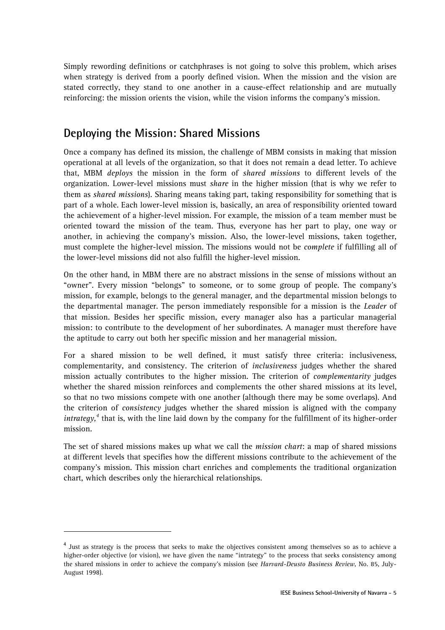Simply rewording definitions or catchphrases is not going to solve this problem, which arises when strategy is derived from a poorly defined vision. When the mission and the vision are stated correctly, they stand to one another in a cause-effect relationship and are mutually reinforcing: the mission orients the vision, while the vision informs the company's mission.

#### **Deploying the Mission: Shared Missions**

Once a company has defined its mission, the challenge of MBM consists in making that mission operational at all levels of the organization, so that it does not remain a dead letter. To achieve that, MBM *deploys* the mission in the form of *shared missions* to different levels of the organization. Lower-level missions must *share* in the higher mission (that is why we refer to them as *shared missions*). Sharing means taking part, taking responsibility for something that is part of a whole. Each lower-level mission is, basically, an area of responsibility oriented toward the achievement of a higher-level mission. For example, the mission of a team member must be oriented toward the mission of the team. Thus, everyone has her part to play, one way or another, in achieving the company's mission. Also, the lower-level missions, taken together, must complete the higher-level mission. The missions would not be *complete* if fulfilling all of the lower-level missions did not also fulfill the higher-level mission.

On the other hand, in MBM there are no abstract missions in the sense of missions without an "owner". Every mission "belongs" to someone, or to some group of people. The company's mission, for example, belongs to the general manager, and the departmental mission belongs to the departmental manager. The person immediately responsible for a mission is the *Leader* of that mission. Besides her specific mission, every manager also has a particular managerial mission: to contribute to the development of her subordinates. A manager must therefore have the aptitude to carry out both her specific mission and her managerial mission.

For a shared mission to be well defined, it must satisfy three criteria: inclusiveness, complementarity, and consistency. The criterion of *inclusiveness* judges whether the shared mission actually contributes to the higher mission. The criterion of *complementarity* judges whether the shared mission reinforces and complements the other shared missions at its level, so that no two missions compete with one another (although there may be some overlaps). And the criterion of *consistency* judges whether the shared mission is aligned with the company *intrategy*,<sup>4</sup> that is, with the line laid down by the company for the fulfillment of its higher-order mission.

The set of shared missions makes up what we call the *mission chart*: a map of shared missions at different levels that specifies how the different missions contribute to the achievement of the company's mission. This mission chart enriches and complements the traditional organization chart, which describes only the hierarchical relationships.

 $\overline{a}$ 

<sup>&</sup>lt;sup>4</sup> Just as strategy is the process that seeks to make the objectives consistent among themselves so as to achieve a higher-order objective (or vision), we have given the name "intrategy" to the process that seeks consistency among the shared missions in order to achieve the company's mission (see *Harvard-Deusto Business Review*, No. 85, July-August 1998).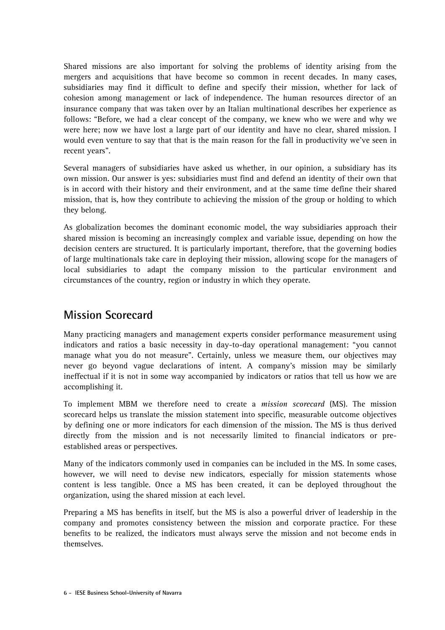Shared missions are also important for solving the problems of identity arising from the mergers and acquisitions that have become so common in recent decades. In many cases, subsidiaries may find it difficult to define and specify their mission, whether for lack of cohesion among management or lack of independence. The human resources director of an insurance company that was taken over by an Italian multinational describes her experience as follows: "Before, we had a clear concept of the company, we knew who we were and why we were here; now we have lost a large part of our identity and have no clear, shared mission. I would even venture to say that that is the main reason for the fall in productivity we've seen in recent years".

Several managers of subsidiaries have asked us whether, in our opinion, a subsidiary has its own mission. Our answer is yes: subsidiaries must find and defend an identity of their own that is in accord with their history and their environment, and at the same time define their shared mission, that is, how they contribute to achieving the mission of the group or holding to which they belong.

As globalization becomes the dominant economic model, the way subsidiaries approach their shared mission is becoming an increasingly complex and variable issue, depending on how the decision centers are structured. It is particularly important, therefore, that the governing bodies of large multinationals take care in deploying their mission, allowing scope for the managers of local subsidiaries to adapt the company mission to the particular environment and circumstances of the country, region or industry in which they operate.

## **Mission Scorecard**

Many practicing managers and management experts consider performance measurement using indicators and ratios a basic necessity in day-to-day operational management: "you cannot manage what you do not measure". Certainly, unless we measure them, our objectives may never go beyond vague declarations of intent. A company's mission may be similarly ineffectual if it is not in some way accompanied by indicators or ratios that tell us how we are accomplishing it.

To implement MBM we therefore need to create a *mission scorecard* (MS). The mission scorecard helps us translate the mission statement into specific, measurable outcome objectives by defining one or more indicators for each dimension of the mission. The MS is thus derived directly from the mission and is not necessarily limited to financial indicators or preestablished areas or perspectives.

Many of the indicators commonly used in companies can be included in the MS. In some cases, however, we will need to devise new indicators, especially for mission statements whose content is less tangible. Once a MS has been created, it can be deployed throughout the organization, using the shared mission at each level.

Preparing a MS has benefits in itself, but the MS is also a powerful driver of leadership in the company and promotes consistency between the mission and corporate practice. For these benefits to be realized, the indicators must always serve the mission and not become ends in themselves.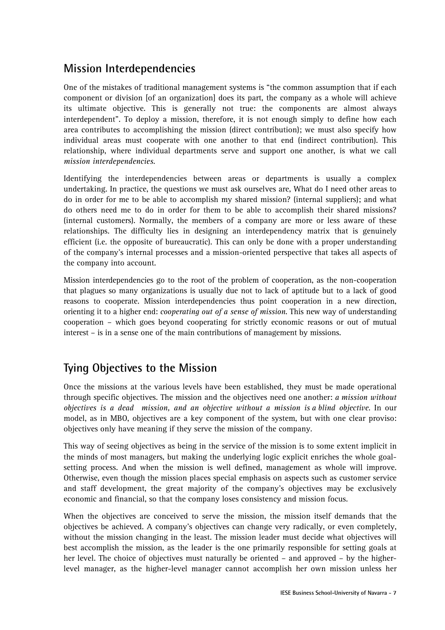# **Mission Interdependencies**

One of the mistakes of traditional management systems is "the common assumption that if each component or division [of an organization] does its part, the company as a whole will achieve its ultimate objective. This is generally not true: the components are almost always interdependent". To deploy a mission, therefore, it is not enough simply to define how each area contributes to accomplishing the mission (direct contribution); we must also specify how individual areas must cooperate with one another to that end (indirect contribution). This relationship, where individual departments serve and support one another, is what we call *mission interdependencies*.

Identifying the interdependencies between areas or departments is usually a complex undertaking. In practice, the questions we must ask ourselves are, What do I need other areas to do in order for me to be able to accomplish my shared mission? (internal suppliers); and what do others need me to do in order for them to be able to accomplish their shared missions? (internal customers). Normally, the members of a company are more or less aware of these relationships. The difficulty lies in designing an interdependency matrix that is genuinely efficient (i.e. the opposite of bureaucratic). This can only be done with a proper understanding of the company's internal processes and a mission-oriented perspective that takes all aspects of the company into account.

Mission interdependencies go to the root of the problem of cooperation, as the non-cooperation that plagues so many organizations is usually due not to lack of aptitude but to a lack of good reasons to cooperate. Mission interdependencies thus point cooperation in a new direction, orienting it to a higher end: *cooperating out of a sense of mission*. This new way of understanding cooperation – which goes beyond cooperating for strictly economic reasons or out of mutual interest – is in a sense one of the main contributions of management by missions.

# **Tying Objectives to the Mission**

Once the missions at the various levels have been established, they must be made operational through specific objectives. The mission and the objectives need one another: *a mission without objectives is a dead mission, and an objective without a mission is a blind objective*. In our model, as in MBO, objectives are a key component of the system, but with one clear proviso: objectives only have meaning if they serve the mission of the company.

This way of seeing objectives as being in the service of the mission is to some extent implicit in the minds of most managers, but making the underlying logic explicit enriches the whole goalsetting process. And when the mission is well defined, management as whole will improve. Otherwise, even though the mission places special emphasis on aspects such as customer service and staff development, the great majority of the company's objectives may be exclusively economic and financial, so that the company loses consistency and mission focus.

When the objectives are conceived to serve the mission, the mission itself demands that the objectives be achieved. A company's objectives can change very radically, or even completely, without the mission changing in the least. The mission leader must decide what objectives will best accomplish the mission, as the leader is the one primarily responsible for setting goals at her level. The choice of objectives must naturally be oriented – and approved – by the higherlevel manager, as the higher-level manager cannot accomplish her own mission unless her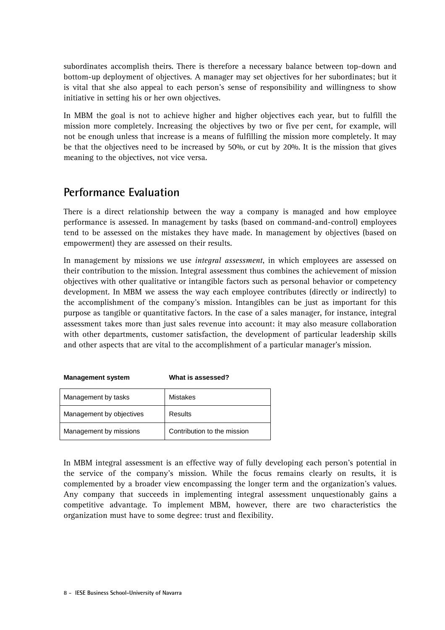subordinates accomplish theirs. There is therefore a necessary balance between top-down and bottom-up deployment of objectives. A manager may set objectives for her subordinates; but it is vital that she also appeal to each person's sense of responsibility and willingness to show initiative in setting his or her own objectives.

In MBM the goal is not to achieve higher and higher objectives each year, but to fulfill the mission more completely. Increasing the objectives by two or five per cent, for example, will not be enough unless that increase is a means of fulfilling the mission more completely. It may be that the objectives need to be increased by 50%, or cut by 20%. It is the mission that gives meaning to the objectives, not vice versa.

## **Performance Evaluation**

There is a direct relationship between the way a company is managed and how employee performance is assessed. In management by tasks (based on command-and-control) employees tend to be assessed on the mistakes they have made. In management by objectives (based on empowerment) they are assessed on their results.

In management by missions we use *integral assessment*, in which employees are assessed on their contribution to the mission. Integral assessment thus combines the achievement of mission objectives with other qualitative or intangible factors such as personal behavior or competency development. In MBM we assess the way each employee contributes (directly or indirectly) to the accomplishment of the company's mission. Intangibles can be just as important for this purpose as tangible or quantitative factors. In the case of a sales manager, for instance, integral assessment takes more than just sales revenue into account: it may also measure collaboration with other departments, customer satisfaction, the development of particular leadership skills and other aspects that are vital to the accomplishment of a particular manager's mission.

#### **Management system What is assessed?**

| Management by tasks      | <b>Mistakes</b>             |
|--------------------------|-----------------------------|
| Management by objectives | <b>Results</b>              |
| Management by missions   | Contribution to the mission |

In MBM integral assessment is an effective way of fully developing each person's potential in the service of the company's mission. While the focus remains clearly on results, it is complemented by a broader view encompassing the longer term and the organization's values. Any company that succeeds in implementing integral assessment unquestionably gains a competitive advantage. To implement MBM, however, there are two characteristics the organization must have to some degree: trust and flexibility.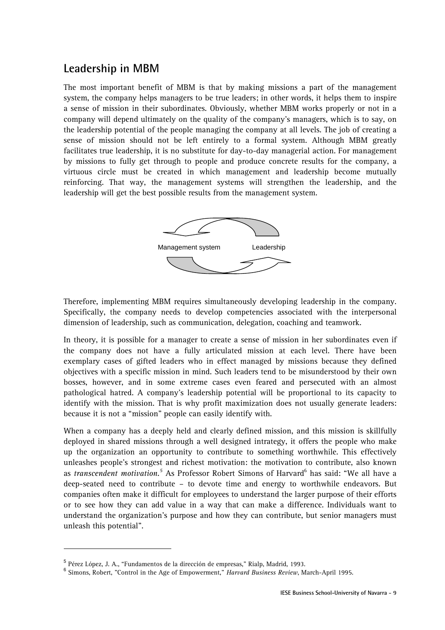#### **Leadership in MBM**

The most important benefit of MBM is that by making missions a part of the management system, the company helps managers to be true leaders; in other words, it helps them to inspire a sense of mission in their subordinates. Obviously, whether MBM works properly or not in a company will depend ultimately on the quality of the company's managers, which is to say, on the leadership potential of the people managing the company at all levels. The job of creating a sense of mission should not be left entirely to a formal system. Although MBM greatly facilitates true leadership, it is no substitute for day-to-day managerial action. For management by missions to fully get through to people and produce concrete results for the company, a virtuous circle must be created in which management and leadership become mutually reinforcing. That way, the management systems will strengthen the leadership, and the leadership will get the best possible results from the management system.



Therefore, implementing MBM requires simultaneously developing leadership in the company. Specifically, the company needs to develop competencies associated with the interpersonal dimension of leadership, such as communication, delegation, coaching and teamwork.

In theory, it is possible for a manager to create a sense of mission in her subordinates even if the company does not have a fully articulated mission at each level. There have been exemplary cases of gifted leaders who in effect managed by missions because they defined objectives with a specific mission in mind. Such leaders tend to be misunderstood by their own bosses, however, and in some extreme cases even feared and persecuted with an almost pathological hatred. A company's leadership potential will be proportional to its capacity to identify with the mission. That is why profit maximization does not usually generate leaders: because it is not a "mission" people can easily identify with.

When a company has a deeply held and clearly defined mission, and this mission is skillfully deployed in shared missions through a well designed intrategy, it offers the people who make up the organization an opportunity to contribute to something worthwhile. This effectively unleashes people's strongest and richest motivation: the motivation to contribute, also known as *transcendent motivation*.<sup>5</sup> As Professor Robert Simons of Harvard<sup>6</sup> has said: "We all have a deep-seated need to contribute – to devote time and energy to worthwhile endeavors. But companies often make it difficult for employees to understand the larger purpose of their efforts or to see how they can add value in a way that can make a difference. Individuals want to understand the organization's purpose and how they can contribute, but senior managers must unleash this potential".

j

<sup>&</sup>lt;sup>5</sup> Pérez López, J. A., "Fundamentos de la dirección de empresas," Rialp, Madrid, 1993.<br><sup>6</sup> Simene, Behart, "Cantral in the Age of Empeyworment," Hamani Business Banism M

Simons, Robert, "Control in the Age of Empowerment," *Harvard Business Review*, March-April 1995.